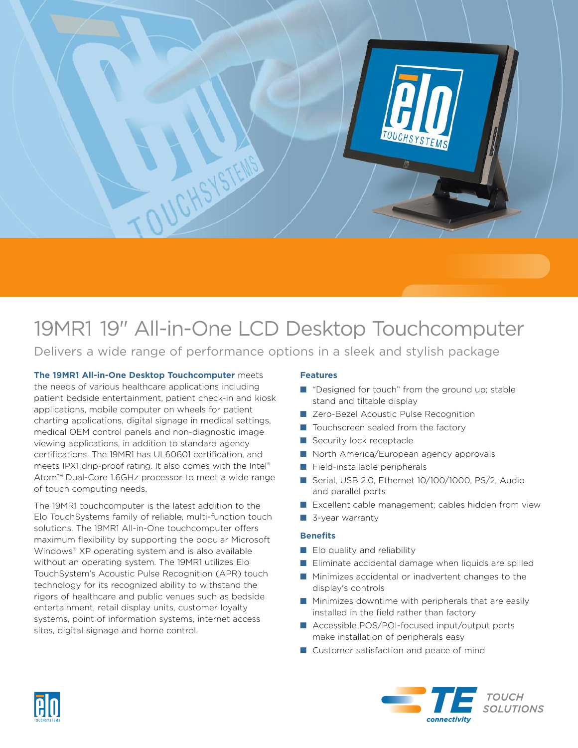

# 19MR1 19" All-in-One LCD Desktop Touchcomputer

Delivers a wide range of performance options in a sleek and stylish package

**The 19MR1 All-in-One Desktop Touchcomputer** meets the needs of various healthcare applications including patient bedside entertainment, patient check-in and kiosk applications, mobile computer on wheels for patient charting applications, digital signage in medical settings, medical OEM control panels and non-diagnostic image viewing applications, in addition to standard agency certifications. The 19MR1 has UL60601 certification, and meets IPX1 drip-proof rating. It also comes with the Intel ® Atom™ Dual-Core 1.6GHz processor to meet a wide range of touch computing needs.

The 19MR1 touchcomputer is the latest addition to the Elo TouchSystems family of reliable, multi-function touch solutions. The 19MR1 All-in-One touchcomputer offers maximum flexibility by supporting the popular Microsoft Windows® XP operating system and is also available without an operating system. The 19MR1 utilizes Elo TouchSystem's Acoustic Pulse Recognition (APR) touch technology for its recognized ability to withstand the rigors of healthcare and public venues such as bedside entertainment, retail display units, customer loyalty systems, point of information systems, internet access sites, digital signage and home control.

## **Features**

- "Designed for touch" from the ground up; stable stand and tiltable display
- Zero-Bezel Acoustic Pulse Recognition
- Touchscreen sealed from the factory
- Security lock receptacle
- North America/European agency approvals
- Field-installable peripherals
- Serial, USB 2.0, Ethernet 10/100/1000, PS/2, Audio and parallel ports
- Excellent cable management; cables hidden from view
- 3-year warranty

### **Benefits**

- Elo quality and reliability
- Eliminate accidental damage when liquids are spilled
- Minimizes accidental or inadvertent changes to the display's controls
- Minimizes downtime with peripherals that are easily installed in the field rather than factory
- Accessible POS/POI-focused input/output ports make installation of peripherals easy
- Customer satisfaction and peace of mind